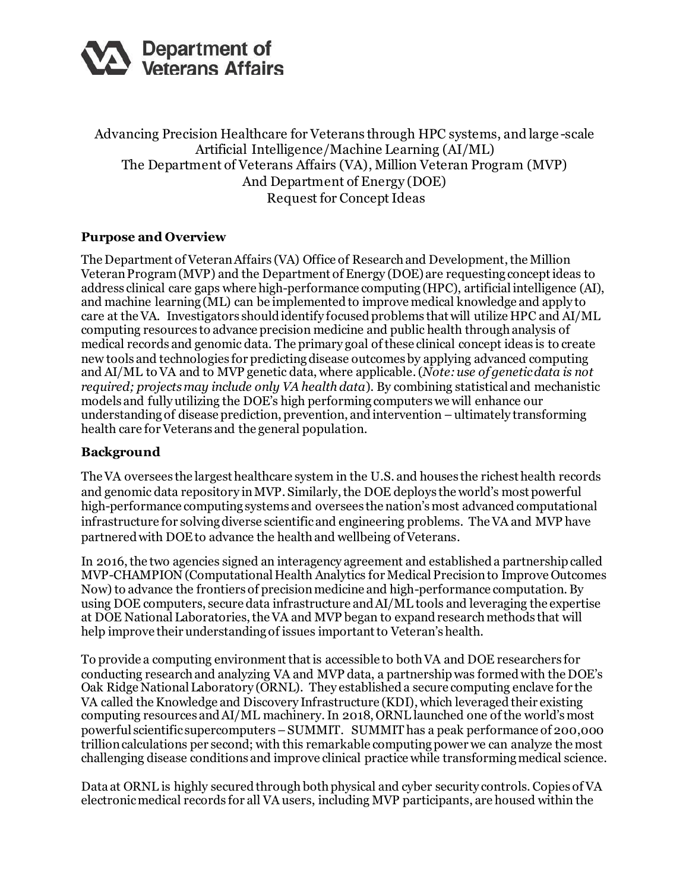

Advancing Precision Healthcare for Veterans through HPC systems, and large -scale Artificial Intelligence/Machine Learning (AI/ML) The Department of Veterans Affairs (VA), Million Veteran Program (MVP) And Department of Energy (DOE) Request for Concept Ideas

### **Purpose and Overview**

The Department of Veteran Affairs (VA) Office of Research and Development, the Million Veteran Program(MVP) and the Department of Energy (DOE) are requesting concept ideas to address clinical care gaps where high-performance computing (HPC), artificial intelligence (AI), and machine learning (ML) can be implemented to improve medical knowledge and apply to care at the VA. Investigators should identify focused problems that will utilize HPC and AI/ML computing resources to advance precision medicine and public health through analysis of medical records and genomic data. The primary goal of these clinical concept ideas is to create new tools and technologies for predicting disease outcomes by applying advanced computing and AI/ML to VA and to MVP genetic data, where applicable. (*Note: use of genetic data is not required; projects may include only VA health data*). By combining statistical and mechanistic models and fully utilizing the DOE's high performing computers we will enhance our understanding of disease prediction, prevention, and intervention –ultimately transforming health care for Veterans and the general population.

#### **Background**

The VA oversees the largest healthcare system in the U.S. and houses the richest health records and genomic data repository in MVP. Similarly, the DOE deploys the world's most powerful high-performance computing systems and oversees the nation's most advanced computational infrastructure for solvingdiverse scientific and engineering problems. The VA and MVP have partnered with DOEto advance the health and wellbeing of Veterans.

In 2016, the two agencies signed an interagency agreement and established a partnership called MVP-CHAMPION (Computational Health Analytics for Medical Precision to Improve Outcomes Now) to advance the frontiers of precision medicine and high-performance computation. By using DOE computers, secure data infrastructure and AI/ML tools and leveraging the expertise at DOE National Laboratories, the VA and MVP began to expand research methods that will help improve their understanding of issues important to Veteran's health.

To provide a computing environment that is accessible to both VA and DOE researchers for conducting research and analyzing VA and MVP data, a partnership was formed with the DOE's Oak Ridge National Laboratory (ORNL). They established a secure computing enclave for the VA called the Knowledge and Discovery Infrastructure (KDI), which leveraged their existing computing resources and AI/ML machinery.In 2018, ORNL launched one of the world's most powerful scientific supercomputers–SUMMIT. SUMMIT has a peak performance of 200,000 trillion calculations per second; with this remarkable computing power we can analyze the most challenging disease conditions and improve clinical practice while transforming medical science.

Data at ORNL is highly secured through both physical and cyber security controls. Copies of VA electronic medical records for all VA users, including MVP participants, are housed within the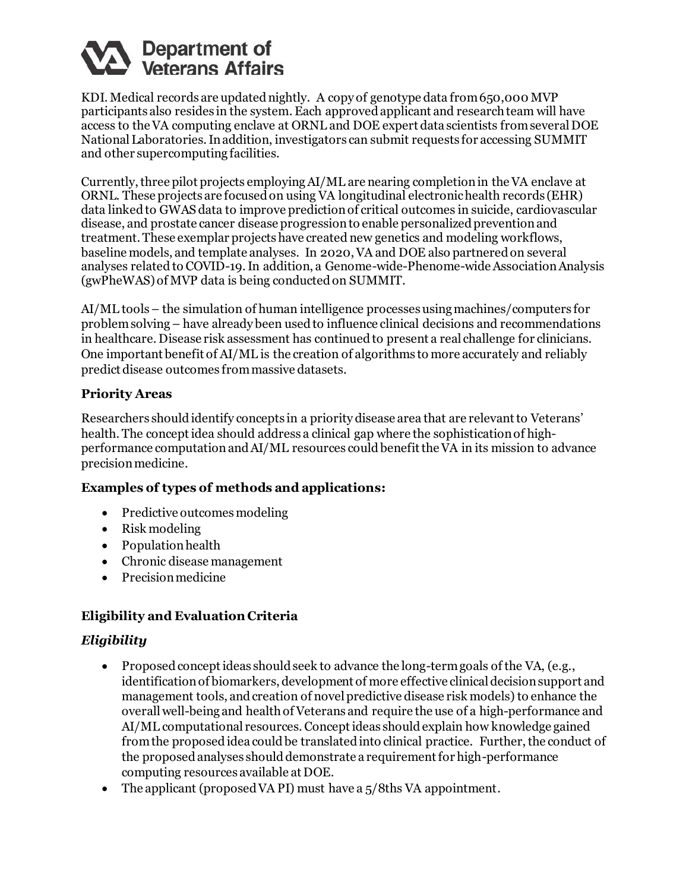

KDI. Medical records are updated nightly. A copy of genotype data from 650,000 MVP participants also resides in the system. Each approved applicant and research team will have access to the VA computing enclave at ORNL and DOE expert data scientists from several DOE National Laboratories. In addition, investigators can submit requests for accessing SUMMIT and other supercomputing facilities.

Currently, three pilot projects employingAI/ML are nearing completion in the VA enclave at ORNL. These projects are focused on using VA longitudinal electronic health records (EHR) data linked to GWAS data to improve prediction of critical outcomes in suicide, cardiovascular disease, and prostate cancer disease progression to enable personalized prevention and treatment. These exemplar projects have created new genetics and modeling workflows, baseline models, and template analyses. In 2020, VA and DOE also partnered on several analyses related to COVID-19. In addition, a Genome-wide-Phenome-wide Association Analysis (gwPheWAS) of MVP data is being conducted on SUMMIT.

AI/ML tools – the simulation of human intelligence processes using machines/computers for problem solving– have already been used to influence clinical decisions and recommendations in healthcare. Disease risk assessment has continued to present a real challenge for clinicians. One important benefit of AI/ML is the creation of algorithms to more accurately and reliably predict disease outcomes from massive datasets.

### **Priority Areas**

Researchers should identify concepts in a priority disease area that are relevant to Veterans' health. The conceptidea should address a clinical gap where the sophistication of highperformance computationand AI/ML resources could benefit the VA in its mission to advance precision medicine.

## **Examples of types of methods and applications:**

- Predictive outcomes modeling
- Risk modeling
- Population health
- Chronic disease management
- Precision medicine

## **Eligibility and Evaluation Criteria**

## *Eligibility*

- Proposed concept ideas should seek to advance the long-term goals of the VA, (e.g., identification of biomarkers, development of more effective clinical decision support and management tools, and creation of novel predictive disease risk models) to enhance the overall well-being and health of Veterans and require the use of a high-performance and AI/ML computational resources. Concept ideas should explain how knowledge gained from the proposed idea could be translated into clinical practice. Further, the conduct of the proposed analyses should demonstrate a requirement for high-performance computing resources available at DOE.
- The applicant (proposed VA PI) must have a  $5/8$ ths VA appointment.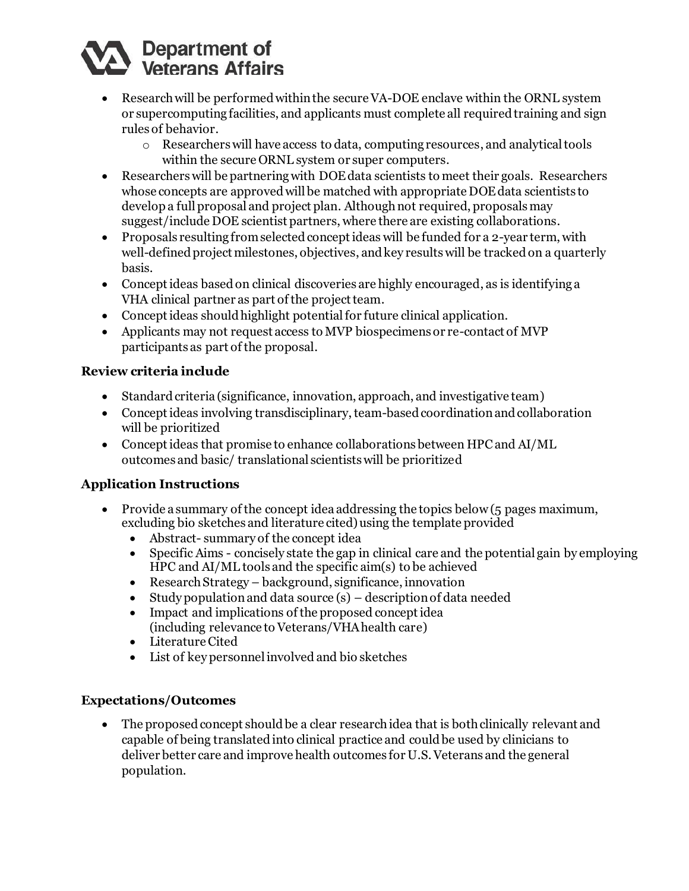# Department of<br>Veterans Affairs

- Research will be performed within the secure VA-DOE enclave within the ORNL system or supercomputing facilities, and applicants must complete all required training and sign rules of behavior.
	- o Researchers will have access to data, computing resources, and analytical tools within the secure ORNL system or super computers.
- Researchers will be partnering with DOE data scientists to meet their goals. Researchers whose concepts are approved will be matched with appropriate DOE data scientists to develop a full proposal and project plan. Although not required, proposals may suggest/include DOE scientist partners, where there are existing collaborations.
- Proposals resulting from selected concept ideas will be funded for a 2-year term, with well-defined project milestones, objectives, and key results will be tracked on a quarterly basis.
- Concept ideas based on clinical discoveries are highly encouraged, as is identifying a VHA clinical partner as part of the project team.
- Concept ideas should highlight potential for future clinical application.
- Applicants may not request access to MVP biospecimens or re-contact of MVP participants as part of the proposal.

# **Review criteria include**

- Standard criteria (significance, innovation, approach, and investigative team)
- Conceptideas involving transdisciplinary, team-based coordination and collaboration will be prioritized
- Conceptideas that promise to enhance collaborations between HPC and AI/ML outcomes and basic/ translational scientists will be prioritized

# **Application Instructions**

- Provide a summary of the concept idea addressing the topics below(5 pages maximum, excluding bio sketches and literature cited) using the template provided
	- Abstract- summary of the concept idea
	- Specific Aims concisely state the gap in clinical care and the potential gain by employing HPC and AI/ML tools and the specific aim(s) to be achieved
	- Research Strategy background, significance, innovation
	- Study population and data source  $(s)$  description of data needed
	- Impact and implications of the proposed concept idea (including relevance to Veterans/VHA health care)
	- Literature Cited
	- List of key personnel involved and bio sketches

## **Expectations/Outcomes**

• The proposed concept should be a clear research idea that is both clinically relevant and capable of being translatedinto clinical practice and could be used by clinicians to deliver better care and improve health outcomes for U.S. Veterans and the general population.